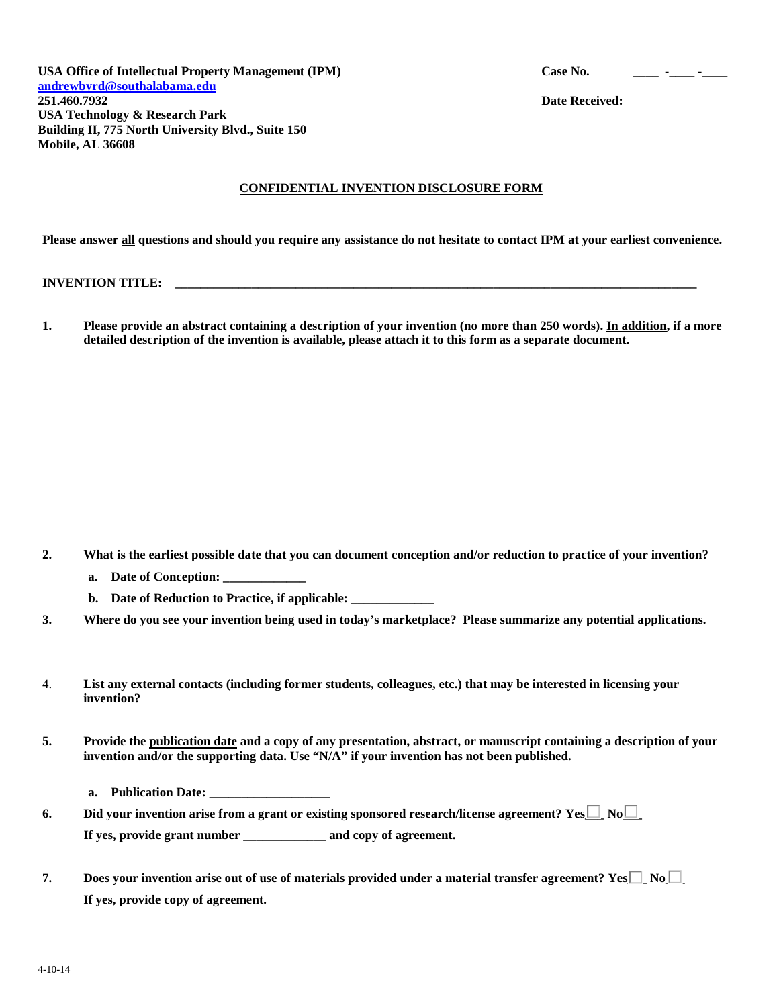USA Office of Intellectual Property Management (IPM) Case No. **Case No.** *\_\_\_\_* **-\_\_\_ -**\_\_ **[andrewbyrd@southalabama.edu](mailto:andrewbyrd@southalabama.edu) USA Technology & Research Park Building II, 775 North University Blvd., Suite 150 Mobile, AL 36608** 

| <b>Case No.</b> |  |
|-----------------|--|
|                 |  |

**Date Received:** 

## **CONFIDENTIAL INVENTION DISCLOSURE FORM**

**Please answer all questions and should you require any assistance do not hesitate to contact IPM at your earliest convenience.** 

## **INVENTION TITLE: \_\_\_\_\_\_\_\_\_\_\_\_\_\_\_\_\_\_\_\_\_\_\_\_\_\_\_\_\_\_\_\_\_\_\_\_\_\_\_\_\_\_\_\_\_\_\_\_\_\_\_\_\_\_\_\_\_\_\_\_\_\_\_\_\_\_\_\_\_\_\_\_\_\_\_\_\_\_\_\_\_\_**

**1. Please provide an abstract containing a description of your invention (no more than 250 words). In addition, if a more detailed description of the invention is available, please attach it to this form as a separate document.**

- **2. What is the earliest possible date that you can document conception and/or reduction to practice of your invention?** 
	- **a. Date of Conception: \_\_\_\_\_\_\_\_\_\_\_\_\_**
	- **b.** Date of Reduction to Practice, if applicable: \_\_\_\_\_\_\_\_\_\_\_\_\_\_\_\_\_\_\_\_\_\_\_\_\_\_\_\_\_\_
- **3. Where do you see your invention being used in today's marketplace? Please summarize any potential applications.**
- 4. **List any external contacts (including former students, colleagues, etc.) that may be interested in licensing your invention?**
- **5. Provide the publication date and a copy of any presentation, abstract, or manuscript containing a description of your invention and/or the supporting data. Use "N/A" if your invention has not been published.**
	- **a. Publication Date: \_\_\_\_\_\_\_\_\_\_\_\_\_\_\_\_\_\_\_**
- **6. Did your invention arise from a grant or existing sponsored research/license agreement? Yes**  $\Box$  **No** $\Box$ **If yes, provide grant number \_\_\_\_\_\_\_\_\_\_\_\_\_ and copy of agreement.**
- **7. Does your invention arise out of use of materials provided under a material transfer agreement? Yes**  $\Box$  **No**  $\Box$ **If yes, provide copy of agreement.**